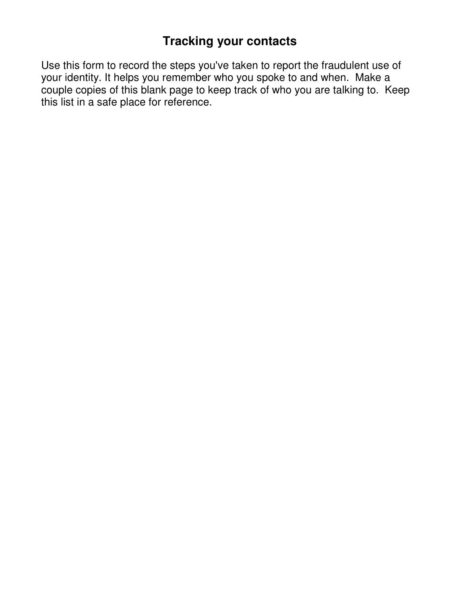# **Tracking your contacts**

Use this form to record the steps you've taken to report the fraudulent use of your identity. It helps you remember who you spoke to and when. Make a couple copies of this blank page to keep track of who you are talking to. Keep this list in a safe place for reference.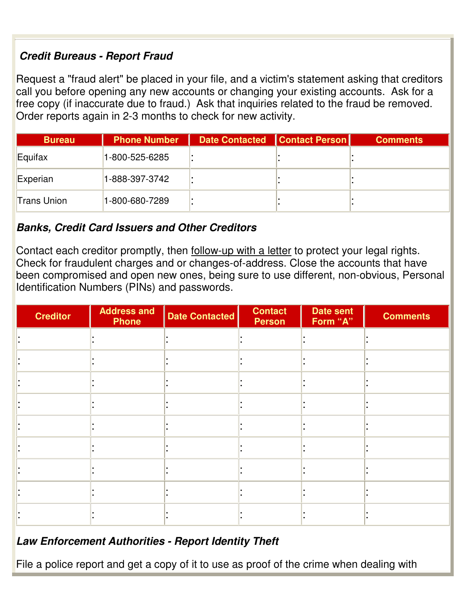### **Credit Bureaus - Report Fraud**

Request a "fraud alert" be placed in your file, and a victim's statement asking that creditors call you before opening any new accounts or changing your existing accounts. Ask for a free copy (if inaccurate due to fraud.) Ask that inquiries related to the fraud be removed. Order reports again in 2-3 months to check for new activity.

| <b>Bureau</b>      | <b>Phone Number</b> | Date Contacted   Contact Person | <b>Comments</b> |
|--------------------|---------------------|---------------------------------|-----------------|
| Equifax            | 1-800-525-6285      |                                 |                 |
| Experian           | 1-888-397-3742      |                                 |                 |
| <b>Trans Union</b> | 1-800-680-7289      |                                 |                 |

#### **Banks, Credit Card Issuers and Other Creditors**

Contact each creditor promptly, then follow-up with a letter to protect your legal rights. Check for fraudulent charges and or changes-of-address. Close the accounts that have been compromised and open new ones, being sure to use different, non-obvious, Personal Identification Numbers (PINs) and passwords.

| <b>Creditor</b> | <b>Address and</b><br><b>Phone</b> | <b>Date Contacted</b> | <b>Contact</b><br><b>Person</b> | <b>Date sent</b><br>Form "A" | <b>Comments</b> |
|-----------------|------------------------------------|-----------------------|---------------------------------|------------------------------|-----------------|
|                 |                                    |                       |                                 |                              |                 |
|                 |                                    |                       |                                 |                              |                 |
|                 |                                    |                       |                                 |                              |                 |
|                 |                                    |                       |                                 |                              |                 |
|                 |                                    |                       |                                 |                              |                 |
|                 |                                    |                       |                                 |                              |                 |
|                 |                                    |                       |                                 |                              |                 |
|                 |                                    |                       |                                 |                              |                 |
|                 |                                    |                       |                                 |                              |                 |

#### **Law Enforcement Authorities - Report Identity Theft**

File a police report and get a copy of it to use as proof of the crime when dealing with